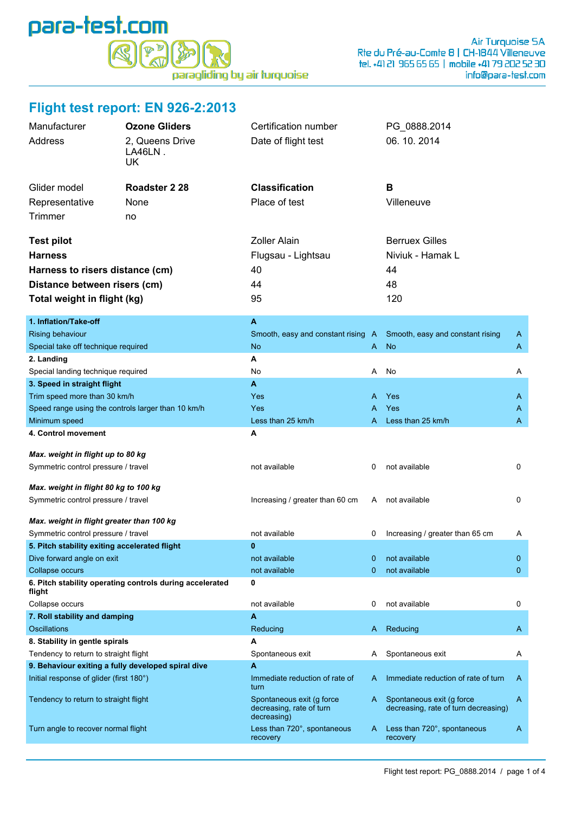

## **Flight test report: EN 926-2:2013**

| Manufacturer<br>Address                                                                       | <b>Ozone Gliders</b><br>2, Queens Drive<br>LA46LN.<br>UK | Certification number<br>Date of flight test                          |   | PG_0888.2014<br>06.10.2014                                        |   |
|-----------------------------------------------------------------------------------------------|----------------------------------------------------------|----------------------------------------------------------------------|---|-------------------------------------------------------------------|---|
| Glider model                                                                                  | Roadster 2 28                                            | <b>Classification</b>                                                |   | В                                                                 |   |
| Representative                                                                                | None                                                     | Place of test                                                        |   | Villeneuve                                                        |   |
|                                                                                               |                                                          |                                                                      |   |                                                                   |   |
| <b>Trimmer</b>                                                                                | no                                                       |                                                                      |   |                                                                   |   |
| <b>Test pilot</b>                                                                             |                                                          | <b>Zoller Alain</b>                                                  |   | <b>Berruex Gilles</b>                                             |   |
| <b>Harness</b>                                                                                |                                                          | Flugsau - Lightsau                                                   |   | Niviuk - Hamak L                                                  |   |
| Harness to risers distance (cm)                                                               |                                                          | 40                                                                   |   | 44                                                                |   |
| Distance between risers (cm)                                                                  |                                                          | 44                                                                   |   | 48                                                                |   |
|                                                                                               |                                                          | 95                                                                   |   | 120                                                               |   |
| Total weight in flight (kg)                                                                   |                                                          |                                                                      |   |                                                                   |   |
| 1. Inflation/Take-off                                                                         |                                                          | A                                                                    |   |                                                                   |   |
| Rising behaviour                                                                              |                                                          | Smooth, easy and constant rising A                                   |   | Smooth, easy and constant rising                                  | A |
| Special take off technique required                                                           |                                                          | <b>No</b>                                                            | A | <b>No</b>                                                         | A |
| 2. Landing                                                                                    |                                                          | А                                                                    |   |                                                                   |   |
| Special landing technique required                                                            |                                                          | No                                                                   | A | No                                                                | Α |
| 3. Speed in straight flight                                                                   |                                                          | A                                                                    |   |                                                                   |   |
| Trim speed more than 30 km/h                                                                  |                                                          | Yes                                                                  | A | Yes                                                               | A |
| Speed range using the controls larger than 10 km/h                                            |                                                          | Yes                                                                  | A | Yes                                                               | A |
| Minimum speed                                                                                 |                                                          | Less than 25 km/h                                                    | A | Less than 25 km/h                                                 | A |
| 4. Control movement                                                                           |                                                          | Α                                                                    |   |                                                                   |   |
| Max. weight in flight up to 80 kg                                                             |                                                          |                                                                      |   |                                                                   |   |
| Symmetric control pressure / travel                                                           |                                                          | not available                                                        | 0 | not available                                                     | 0 |
|                                                                                               |                                                          |                                                                      |   |                                                                   |   |
| Max. weight in flight 80 kg to 100 kg                                                         |                                                          |                                                                      |   |                                                                   |   |
| Symmetric control pressure / travel                                                           |                                                          | Increasing / greater than 60 cm                                      | A | not available                                                     | 0 |
| Max. weight in flight greater than 100 kg                                                     |                                                          |                                                                      |   |                                                                   |   |
| Symmetric control pressure / travel                                                           |                                                          | not available                                                        | 0 | Increasing / greater than 65 cm                                   | A |
| 5. Pitch stability exiting accelerated flight                                                 |                                                          | 0                                                                    |   |                                                                   |   |
| Dive forward angle on exit                                                                    |                                                          | not available                                                        | 0 | not available                                                     | 0 |
| Collapse occurs                                                                               |                                                          | not available                                                        | 0 | not available                                                     | 0 |
| flight                                                                                        | 6. Pitch stability operating controls during accelerated | 0                                                                    |   |                                                                   |   |
| Collapse occurs                                                                               |                                                          | not available                                                        | 0 | not available                                                     | 0 |
| 7. Roll stability and damping                                                                 |                                                          | A                                                                    |   |                                                                   |   |
| Oscillations                                                                                  |                                                          | Reducing                                                             | A | Reducing                                                          | A |
| 8. Stability in gentle spirals                                                                |                                                          | A                                                                    |   |                                                                   |   |
| Tendency to return to straight flight                                                         |                                                          | Spontaneous exit                                                     | A | Spontaneous exit                                                  | A |
| 9. Behaviour exiting a fully developed spiral dive<br>Initial response of glider (first 180°) |                                                          | A<br>Immediate reduction of rate of<br>turn                          | A | Immediate reduction of rate of turn                               | A |
| Tendency to return to straight flight                                                         |                                                          | Spontaneous exit (g force<br>decreasing, rate of turn<br>decreasing) | A | Spontaneous exit (g force<br>decreasing, rate of turn decreasing) | A |
| Turn angle to recover normal flight                                                           |                                                          | Less than 720°, spontaneous<br>recovery                              | A | Less than 720°, spontaneous<br>recovery                           | A |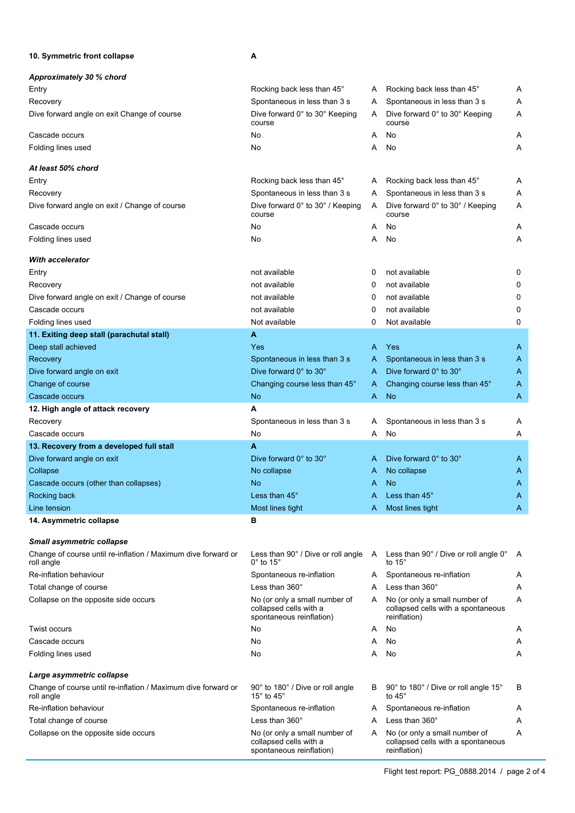## **10. Symmetric front collapse A**

| Approximately 30 % chord                                                    |                                                                                     |   |                                                                                     |   |
|-----------------------------------------------------------------------------|-------------------------------------------------------------------------------------|---|-------------------------------------------------------------------------------------|---|
| Entry                                                                       | Rocking back less than 45°                                                          | A | Rocking back less than 45°                                                          | A |
| Recovery                                                                    | Spontaneous in less than 3 s                                                        | A | Spontaneous in less than 3 s                                                        | Α |
| Dive forward angle on exit Change of course                                 | Dive forward 0° to 30° Keeping<br>course                                            | A | Dive forward 0° to 30° Keeping<br>course                                            | Α |
| Cascade occurs                                                              | No                                                                                  | A | No                                                                                  | A |
| Folding lines used                                                          | No                                                                                  | A | No                                                                                  | Α |
| At least 50% chord                                                          |                                                                                     |   |                                                                                     |   |
| Entry                                                                       | Rocking back less than 45°                                                          | A | Rocking back less than 45°                                                          | A |
| Recovery                                                                    | Spontaneous in less than 3 s                                                        | A | Spontaneous in less than 3 s                                                        | Α |
| Dive forward angle on exit / Change of course                               | Dive forward 0° to 30° / Keeping<br>course                                          | A | Dive forward 0° to 30° / Keeping<br>course                                          | A |
| Cascade occurs                                                              | No                                                                                  | A | No                                                                                  | A |
| Folding lines used                                                          | No                                                                                  | A | No                                                                                  | Α |
| With accelerator                                                            |                                                                                     |   |                                                                                     |   |
| Entry                                                                       | not available                                                                       | 0 | not available                                                                       | 0 |
| Recovery                                                                    | not available                                                                       | 0 | not available                                                                       | 0 |
| Dive forward angle on exit / Change of course                               | not available                                                                       | 0 | not available                                                                       | 0 |
| Cascade occurs                                                              | not available                                                                       | 0 | not available                                                                       | 0 |
| Folding lines used                                                          | Not available                                                                       | 0 | Not available                                                                       | 0 |
| 11. Exiting deep stall (parachutal stall)                                   | A                                                                                   |   |                                                                                     |   |
| Deep stall achieved                                                         | Yes                                                                                 | A | Yes                                                                                 | A |
| Recovery                                                                    | Spontaneous in less than 3 s                                                        | A | Spontaneous in less than 3 s                                                        | A |
| Dive forward angle on exit                                                  | Dive forward 0° to 30°                                                              | A | Dive forward 0° to 30°                                                              | A |
| Change of course                                                            | Changing course less than 45°                                                       | A | Changing course less than 45°                                                       | A |
| Cascade occurs                                                              | <b>No</b>                                                                           | A | <b>No</b>                                                                           | A |
| 12. High angle of attack recovery                                           | A                                                                                   |   |                                                                                     |   |
| Recovery                                                                    | Spontaneous in less than 3 s                                                        | A | Spontaneous in less than 3 s                                                        | A |
| Cascade occurs                                                              | No                                                                                  | A | No                                                                                  | Α |
| 13. Recovery from a developed full stall                                    | A                                                                                   |   |                                                                                     |   |
| Dive forward angle on exit                                                  | Dive forward 0° to 30°                                                              | A | Dive forward 0° to 30°                                                              | A |
| Collapse                                                                    | No collapse                                                                         | A | No collapse                                                                         | A |
| Cascade occurs (other than collapses)                                       | N <sub>o</sub>                                                                      | Α | No                                                                                  | A |
| Rocking back                                                                | Less than $45^\circ$                                                                | A | Less than 45°                                                                       | Α |
| Line tension                                                                | Most lines tight                                                                    | A | Most lines tight                                                                    | A |
| 14. Asymmetric collapse                                                     | в                                                                                   |   |                                                                                     |   |
| <b>Small asymmetric collapse</b>                                            |                                                                                     |   |                                                                                     |   |
| Change of course until re-inflation / Maximum dive forward or<br>roll angle | Less than 90° / Dive or roll angle<br>$0^\circ$ to 15 $^\circ$                      | A | Less than 90° / Dive or roll angle 0°<br>to 15°                                     | A |
| Re-inflation behaviour                                                      | Spontaneous re-inflation                                                            | A | Spontaneous re-inflation                                                            | A |
| Total change of course                                                      | Less than $360^\circ$                                                               | A | Less than $360^\circ$                                                               | A |
| Collapse on the opposite side occurs                                        | No (or only a small number of<br>collapsed cells with a<br>spontaneous reinflation) | A | No (or only a small number of<br>collapsed cells with a spontaneous<br>reinflation) | Α |
| Twist occurs                                                                | No                                                                                  | Α | No                                                                                  | A |
| Cascade occurs                                                              | No                                                                                  | A | No                                                                                  | Α |
| Folding lines used                                                          | No                                                                                  | A | No                                                                                  | Α |
| Large asymmetric collapse                                                   |                                                                                     |   |                                                                                     |   |
| Change of course until re-inflation / Maximum dive forward or<br>roll angle | 90° to 180° / Dive or roll angle<br>15 $^{\circ}$ to 45 $^{\circ}$                  | B | 90° to 180° / Dive or roll angle 15°<br>to 45°                                      | В |
| Re-inflation behaviour                                                      | Spontaneous re-inflation                                                            | A | Spontaneous re-inflation                                                            | A |
| Total change of course                                                      | Less than $360^\circ$                                                               | A | Less than 360°                                                                      | Α |
| Collapse on the opposite side occurs                                        | No (or only a small number of<br>collapsed cells with a<br>spontaneous reinflation) | A | No (or only a small number of<br>collapsed cells with a spontaneous<br>reinflation) | Α |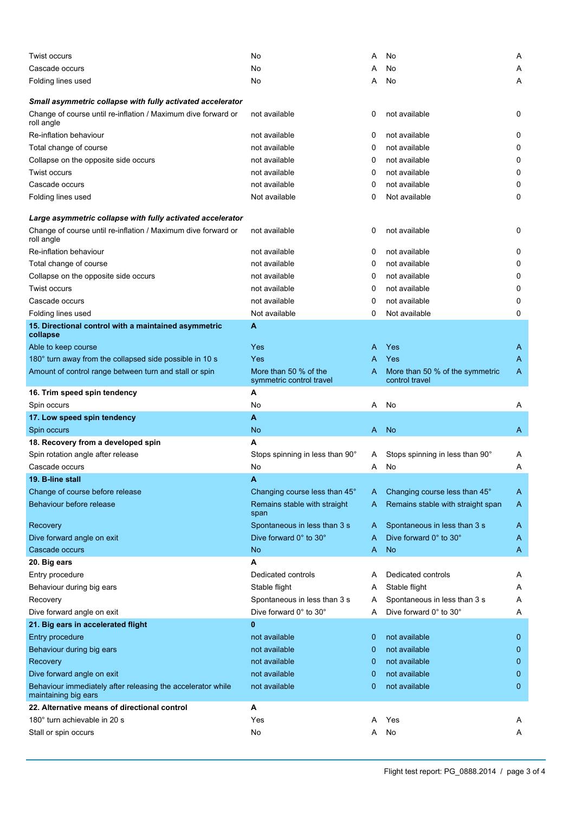| Twist occurs                                                                        | No                                                | A | No                                                | Α            |
|-------------------------------------------------------------------------------------|---------------------------------------------------|---|---------------------------------------------------|--------------|
| Cascade occurs                                                                      | No                                                |   | No                                                | Α            |
| Folding lines used                                                                  | No                                                | Α | No                                                | A            |
|                                                                                     |                                                   |   |                                                   |              |
| Small asymmetric collapse with fully activated accelerator                          |                                                   |   |                                                   |              |
| Change of course until re-inflation / Maximum dive forward or<br>roll angle         | not available                                     | 0 | not available                                     | 0            |
| Re-inflation behaviour                                                              | not available                                     | 0 | not available                                     | 0            |
| Total change of course                                                              | not available                                     | 0 | not available                                     | 0            |
| Collapse on the opposite side occurs                                                | not available                                     | 0 | not available                                     | 0            |
| Twist occurs                                                                        | not available                                     | 0 | not available                                     | 0            |
| Cascade occurs                                                                      | not available                                     | 0 | not available                                     | 0            |
| Folding lines used                                                                  | Not available                                     | 0 | Not available                                     | 0            |
|                                                                                     |                                                   |   |                                                   |              |
| Large asymmetric collapse with fully activated accelerator                          |                                                   |   |                                                   |              |
| Change of course until re-inflation / Maximum dive forward or<br>roll angle         | not available                                     | 0 | not available                                     | 0            |
| Re-inflation behaviour                                                              | not available                                     | 0 | not available                                     | 0            |
| Total change of course                                                              | not available                                     | 0 | not available                                     | 0            |
| Collapse on the opposite side occurs                                                | not available                                     | 0 | not available                                     | 0            |
| <b>Twist occurs</b>                                                                 | not available                                     | 0 | not available                                     | 0            |
| Cascade occurs                                                                      | not available                                     | 0 | not available                                     | 0            |
| Folding lines used                                                                  | Not available                                     | 0 | Not available                                     | 0            |
| 15. Directional control with a maintained asymmetric                                | A                                                 |   |                                                   |              |
| collapse                                                                            |                                                   |   |                                                   |              |
| Able to keep course                                                                 | <b>Yes</b>                                        | A | Yes                                               | A            |
| 180° turn away from the collapsed side possible in 10 s                             | Yes                                               | A | Yes                                               | A            |
| Amount of control range between turn and stall or spin                              | More than 50 % of the<br>symmetric control travel | A | More than 50 % of the symmetric<br>control travel | A            |
| 16. Trim speed spin tendency                                                        | A                                                 |   |                                                   |              |
| Spin occurs                                                                         | No                                                | Α | No                                                | Α            |
|                                                                                     |                                                   |   |                                                   |              |
| 17. Low speed spin tendency                                                         | A                                                 |   |                                                   |              |
| Spin occurs                                                                         | No                                                | A | <b>No</b>                                         | A            |
| 18. Recovery from a developed spin                                                  | A                                                 |   |                                                   |              |
| Spin rotation angle after release                                                   | Stops spinning in less than 90°                   | A | Stops spinning in less than 90°                   | A            |
| Cascade occurs                                                                      | No                                                | A | No                                                | Α            |
| 19. B-line stall                                                                    | A                                                 |   |                                                   |              |
| Change of course before release                                                     | Changing course less than 45°                     | A | Changing course less than 45°                     | A            |
| Behaviour before release                                                            | Remains stable with straight<br>span              | A | Remains stable with straight span                 | A            |
| Recovery                                                                            | Spontaneous in less than 3 s                      | A | Spontaneous in less than 3 s                      | A            |
| Dive forward angle on exit                                                          | Dive forward 0° to 30°                            | A | Dive forward 0° to 30°                            | A            |
| Cascade occurs                                                                      | No                                                | A | <b>No</b>                                         | A            |
| 20. Big ears                                                                        | Α                                                 |   |                                                   |              |
| Entry procedure                                                                     | Dedicated controls                                | A | Dedicated controls                                | A            |
| Behaviour during big ears                                                           | Stable flight                                     | A | Stable flight                                     | Α            |
| Recovery                                                                            | Spontaneous in less than 3 s                      | A | Spontaneous in less than 3 s                      | Α            |
| Dive forward angle on exit                                                          | Dive forward 0° to 30°                            | A | Dive forward 0° to 30°                            | Α            |
| 21. Big ears in accelerated flight                                                  | $\bf{0}$                                          |   |                                                   |              |
| Entry procedure                                                                     | not available                                     | 0 | not available                                     | 0            |
| Behaviour during big ears                                                           | not available                                     | 0 | not available                                     | $\mathbf 0$  |
| Recovery                                                                            | not available                                     | 0 | not available                                     | 0            |
| Dive forward angle on exit                                                          | not available                                     | 0 | not available                                     | 0            |
| Behaviour immediately after releasing the accelerator while<br>maintaining big ears | not available                                     | 0 | not available                                     | $\mathbf{0}$ |
| 22. Alternative means of directional control                                        | Α                                                 |   |                                                   |              |
| 180° turn achievable in 20 s                                                        | Yes                                               | A | Yes                                               | A            |
| Stall or spin occurs                                                                | No                                                | A | No                                                | Α            |